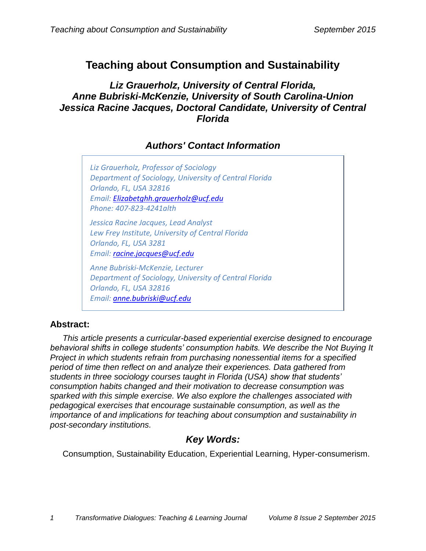# **Teaching about Consumption and Sustainability**

## *Liz Grauerholz, University of Central Florida, Anne Bubriski-McKenzie, University of South Carolina-Union Jessica Racine Jacques, Doctoral Candidate, University of Central Florida*

## *Authors' Contact Information*

*Liz Grauerholz, Professor of Sociology Department of Sociology, University of Central Florida Orlando, FL, USA 32816 Email: [Elizabetghh.grauerholz@ucf.edu](mailto:Elizabetghh.grauerholz@ucf.edu) Phone: 407-823-4241alth*

*Jessica Racine Jacques, Lead Analyst Lew Frey Institute, University of Central Florida Orlando, FL, USA 3281*

*Email: [racine.jacques@ucf.edu](mailto:racine.jacques@ucf.edu)*

*Anne Bubriski-McKenzie, Lecturer Department of Sociology, University of Central Florida Orlando, FL, USA 32816 Email: [anne.bubriski@ucf.edu](mailto:anne.bubriski@ucf.edu)*

## **Abstract:**

*This article presents a curricular-based experiential exercise designed to encourage behavioral shifts in college students' consumption habits. We describe the Not Buying It Project in which students refrain from purchasing nonessential items for a specified period of time then reflect on and analyze their experiences. Data gathered from students in three sociology courses taught in Florida (USA) show that students' consumption habits changed and their motivation to decrease consumption was sparked with this simple exercise. We also explore the challenges associated with pedagogical exercises that encourage sustainable consumption, as well as the importance of and implications for teaching about consumption and sustainability in post-secondary institutions.*

## *Key Words:*

Consumption, Sustainability Education, Experiential Learning, Hyper-consumerism.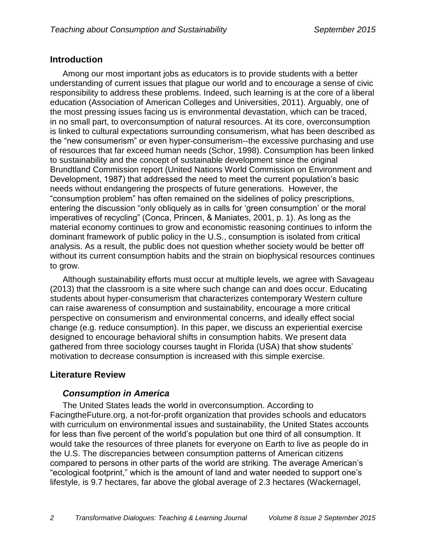## **Introduction**

Among our most important jobs as educators is to provide students with a better understanding of current issues that plague our world and to encourage a sense of civic responsibility to address these problems. Indeed, such learning is at the core of a liberal education (Association of American Colleges and Universities, 2011). Arguably, one of the most pressing issues facing us is environmental devastation, which can be traced, in no small part, to overconsumption of natural resources. At its core, overconsumption is linked to cultural expectations surrounding consumerism, what has been described as the "new consumerism" or even hyper*-*consumerism--the excessive purchasing and use of resources that far exceed human needs (Schor, 1998). Consumption has been linked to sustainability and the concept of sustainable development since the original Brundtland Commission report (United Nations World Commission on Environment and Development, 1987) that addressed the need to meet the current population's basic needs without endangering the prospects of future generations. However, the "consumption problem" has often remained on the sidelines of policy prescriptions, entering the discussion "only obliquely as in calls for 'green consumption' or the moral imperatives of recycling" (Conca, Princen, & Maniates, 2001, p. 1). As long as the material economy continues to grow and economistic reasoning continues to inform the dominant framework of public policy in the U.S., consumption is isolated from critical analysis. As a result, the public does not question whether society would be better off without its current consumption habits and the strain on biophysical resources continues to grow.

Although sustainability efforts must occur at multiple levels, we agree with Savageau (2013) that the classroom is a site where such change can and does occur. Educating students about hyper-consumerism that characterizes contemporary Western culture can raise awareness of consumption and sustainability, encourage a more critical perspective on consumerism and environmental concerns, and ideally effect social change (e.g. reduce consumption). In this paper, we discuss an experiential exercise designed to encourage behavioral shifts in consumption habits. We present data gathered from three sociology courses taught in Florida (USA) that show students' motivation to decrease consumption is increased with this simple exercise.

## **Literature Review**

## *Consumption in America*

The United States leads the world in overconsumption. According to FacingtheFuture.org, a not-for-profit organization that provides schools and educators with curriculum on environmental issues and sustainability, the United States accounts for less than five percent of the world's population but one third of all consumption. It would take the resources of three planets for everyone on Earth to live as people do in the U.S. The discrepancies between consumption patterns of American citizens compared to persons in other parts of the world are striking. The average American's "ecological footprint," which is the amount of land and water needed to support one's lifestyle, is 9.7 hectares, far above the global average of 2.3 hectares (Wackernagel,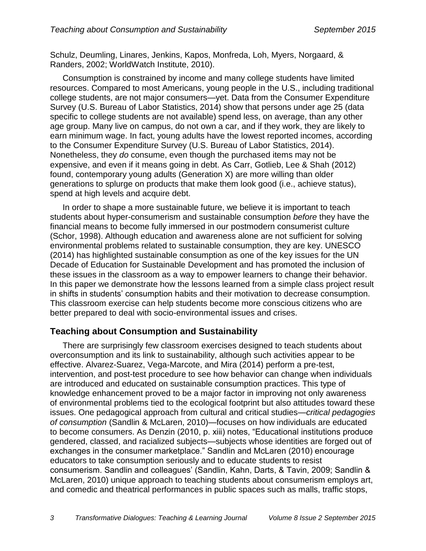Schulz, Deumling, Linares, Jenkins, Kapos, Monfreda, Loh, Myers, Norgaard, & Randers, 2002; WorldWatch Institute, 2010).

Consumption is constrained by income and many college students have limited resources. Compared to most Americans, young people in the U.S., including traditional college students, are not major consumers—yet. Data from the Consumer Expenditure Survey (U.S. Bureau of Labor Statistics, 2014) show that persons under age 25 (data specific to college students are not available) spend less, on average, than any other age group. Many live on campus, do not own a car, and if they work, they are likely to earn minimum wage. In fact, young adults have the lowest reported incomes, according to the Consumer Expenditure Survey (U.S. Bureau of Labor Statistics, 2014). Nonetheless, they *do* consume, even though the purchased items may not be expensive, and even if it means going in debt. As Carr, Gotlieb, Lee & Shah (2012) found, contemporary young adults (Generation X) are more willing than older generations to splurge on products that make them look good (i.e., achieve status), spend at high levels and acquire debt.

In order to shape a more sustainable future, we believe it is important to teach students about hyper-consumerism and sustainable consumption *before* they have the financial means to become fully immersed in our postmodern consumerist culture (Schor, 1998). Although education and awareness alone are not sufficient for solving environmental problems related to sustainable consumption, they are key. UNESCO (2014) has highlighted sustainable consumption as one of the key issues for the UN Decade of Education for Sustainable Development and has promoted the inclusion of these issues in the classroom as a way to empower learners to change their behavior. In this paper we demonstrate how the lessons learned from a simple class project result in shifts in students' consumption habits and their motivation to decrease consumption. This classroom exercise can help students become more conscious citizens who are better prepared to deal with socio-environmental issues and crises.

#### **Teaching about Consumption and Sustainability**

There are surprisingly few classroom exercises designed to teach students about overconsumption and its link to sustainability, although such activities appear to be effective. Alvarez-Suarez, Vega-Marcote, and Mira (2014) perform a pre-test, intervention, and post-test procedure to see how behavior can change when individuals are introduced and educated on sustainable consumption practices. This type of knowledge enhancement proved to be a major factor in improving not only awareness of environmental problems tied to the ecological footprint but also attitudes toward these issues. One pedagogical approach from cultural and critical studies—*critical pedagogies of consumption* (Sandlin & McLaren, 2010)—focuses on how individuals are educated to become consumers. As Denzin (2010, p. xiii) notes, "Educational institutions produce gendered, classed, and racialized subjects—subjects whose identities are forged out of exchanges in the consumer marketplace." Sandlin and McLaren (2010) encourage educators to take consumption seriously and to educate students to resist consumerism. Sandlin and colleagues' (Sandlin, Kahn, Darts, & Tavin, 2009; Sandlin & McLaren, 2010) unique approach to teaching students about consumerism employs art, and comedic and theatrical performances in public spaces such as malls, traffic stops,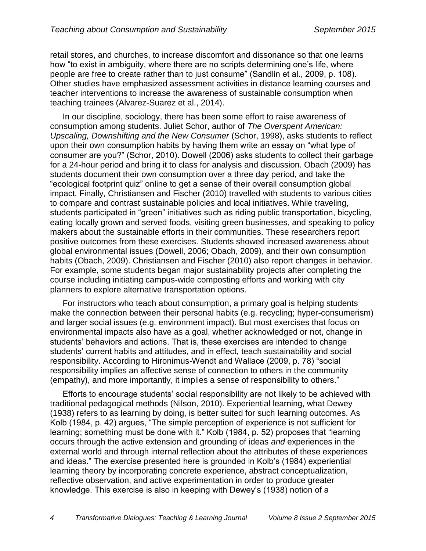retail stores, and churches, to increase discomfort and dissonance so that one learns how "to exist in ambiguity, where there are no scripts determining one's life, where people are free to create rather than to just consume" (Sandlin et al., 2009, p. 108). Other studies have emphasized assessment activities in distance learning courses and teacher interventions to increase the awareness of sustainable consumption when teaching trainees (Alvarez-Suarez et al., 2014).

In our discipline, sociology, there has been some effort to raise awareness of consumption among students. Juliet Schor, author of *The Overspent American: Upscaling, Downshifting and the New Consumer* (Schor, 1998), asks students to reflect upon their own consumption habits by having them write an essay on "what type of consumer are you?" (Schor, 2010). Dowell (2006) asks students to collect their garbage for a 24-hour period and bring it to class for analysis and discussion. Obach (2009) has students document their own consumption over a three day period, and take the "ecological footprint quiz" online to get a sense of their overall consumption global impact. Finally, Christiansen and Fischer (2010) travelled with students to various cities to compare and contrast sustainable policies and local initiatives. While traveling, students participated in "green" initiatives such as riding public transportation, bicycling, eating locally grown and served foods, visiting green businesses, and speaking to policy makers about the sustainable efforts in their communities. These researchers report positive outcomes from these exercises. Students showed increased awareness about global environmental issues (Dowell, 2006; Obach, 2009), and their own consumption habits (Obach, 2009). Christiansen and Fischer (2010) also report changes in behavior. For example, some students began major sustainability projects after completing the course including initiating campus-wide composting efforts and working with city planners to explore alternative transportation options.

For instructors who teach about consumption, a primary goal is helping students make the connection between their personal habits (e.g. recycling; hyper-consumerism) and larger social issues (e.g. environment impact). But most exercises that focus on environmental impacts also have as a goal, whether acknowledged or not, change in students' behaviors and actions. That is, these exercises are intended to change students' current habits and attitudes, and in effect, teach sustainability and social responsibility. According to Hironimus-Wendt and Wallace (2009, p. 78) "social responsibility implies an affective sense of connection to others in the community (empathy), and more importantly, it implies a sense of responsibility to others."

Efforts to encourage students' social responsibility are not likely to be achieved with traditional pedagogical methods (Nilson, 2010). Experiential learning, what Dewey (1938) refers to as learning by doing, is better suited for such learning outcomes. As Kolb (1984, p. 42) argues, "The simple perception of experience is not sufficient for learning; something must be done with it." Kolb (1984, p. 52) proposes that "learning occurs through the active extension and grounding of ideas *and* experiences in the external world and through internal reflection about the attributes of these experiences and ideas." The exercise presented here is grounded in Kolb's (1984) experiential learning theory by incorporating concrete experience, abstract conceptualization, reflective observation, and active experimentation in order to produce greater knowledge. This exercise is also in keeping with Dewey's (1938) notion of a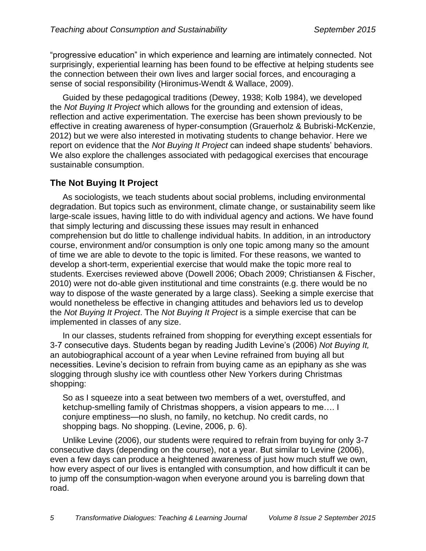"progressive education" in which experience and learning are intimately connected. Not surprisingly, experiential learning has been found to be effective at helping students see the connection between their own lives and larger social forces, and encouraging a sense of social responsibility (Hironimus-Wendt & Wallace, 2009).

Guided by these pedagogical traditions (Dewey, 1938; Kolb 1984), we developed the *Not Buying It Project* which allows for the grounding and extension of ideas, reflection and active experimentation. The exercise has been shown previously to be effective in creating awareness of hyper-consumption (Grauerholz & Bubriski-McKenzie, 2012) but we were also interested in motivating students to change behavior. Here we report on evidence that the *Not Buying It Project* can indeed shape students' behaviors. We also explore the challenges associated with pedagogical exercises that encourage sustainable consumption.

#### **The Not Buying It Project**

As sociologists, we teach students about social problems, including environmental degradation. But topics such as environment, climate change, or sustainability seem like large-scale issues, having little to do with individual agency and actions. We have found that simply lecturing and discussing these issues may result in enhanced comprehension but do little to challenge individual habits. In addition, in an introductory course, environment and/or consumption is only one topic among many so the amount of time we are able to devote to the topic is limited. For these reasons, we wanted to develop a short-term, experiential exercise that would make the topic more real to students. Exercises reviewed above (Dowell 2006; Obach 2009; Christiansen & Fischer, 2010) were not do-able given institutional and time constraints (e.g. there would be no way to dispose of the waste generated by a large class). Seeking a simple exercise that would nonetheless be effective in changing attitudes and behaviors led us to develop the *Not Buying It Project*. The *Not Buying It Project* is a simple exercise that can be implemented in classes of any size.

In our classes, students refrained from shopping for everything except essentials for 3-7 consecutive days. Students began by reading Judith Levine's (2006) *Not Buying It,*  an autobiographical account of a year when Levine refrained from buying all but necessities. Levine's decision to refrain from buying came as an epiphany as she was slogging through slushy ice with countless other New Yorkers during Christmas shopping:

So as I squeeze into a seat between two members of a wet, overstuffed, and ketchup-smelling family of Christmas shoppers, a vision appears to me…. I conjure emptiness—no slush, no family, no ketchup. No credit cards, no shopping bags. No shopping. (Levine, 2006, p. 6).

Unlike Levine (2006), our students were required to refrain from buying for only 3-7 consecutive days (depending on the course), not a year. But similar to Levine (2006), even a few days can produce a heightened awareness of just how much stuff we own, how every aspect of our lives is entangled with consumption, and how difficult it can be to jump off the consumption-wagon when everyone around you is barreling down that road.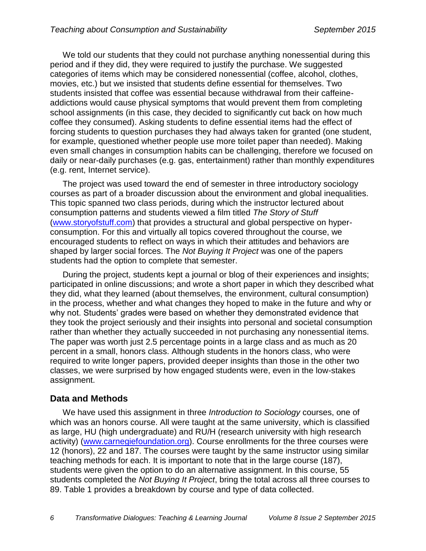We told our students that they could not purchase anything nonessential during this period and if they did, they were required to justify the purchase. We suggested categories of items which may be considered nonessential (coffee, alcohol, clothes, movies, etc.) but we insisted that students define essential for themselves. Two students insisted that coffee was essential because withdrawal from their caffeineaddictions would cause physical symptoms that would prevent them from completing school assignments (in this case, they decided to significantly cut back on how much coffee they consumed). Asking students to define essential items had the effect of forcing students to question purchases they had always taken for granted (one student, for example, questioned whether people use more toilet paper than needed). Making even small changes in consumption habits can be challenging, therefore we focused on daily or near-daily purchases (e.g. gas, entertainment) rather than monthly expenditures (e.g. rent, Internet service).

The project was used toward the end of semester in three introductory sociology courses as part of a broader discussion about the environment and global inequalities. This topic spanned two class periods, during which the instructor lectured about consumption patterns and students viewed a film titled *The Story of Stuff* [\(www.storyofstuff.com\)](http://www.storyofstuff.com/) that provides a structural and global perspective on hyperconsumption. For this and virtually all topics covered throughout the course, we encouraged students to reflect on ways in which their attitudes and behaviors are shaped by larger social forces. The *Not Buying It Project* was one of the papers students had the option to complete that semester.

During the project, students kept a journal or blog of their experiences and insights; participated in online discussions; and wrote a short paper in which they described what they did, what they learned (about themselves, the environment, cultural consumption) in the process, whether and what changes they hoped to make in the future and why or why not. Students' grades were based on whether they demonstrated evidence that they took the project seriously and their insights into personal and societal consumption rather than whether they actually succeeded in not purchasing any nonessential items. The paper was worth just 2.5 percentage points in a large class and as much as 20 percent in a small, honors class. Although students in the honors class, who were required to write longer papers, provided deeper insights than those in the other two classes, we were surprised by how engaged students were, even in the low-stakes assignment.

#### **Data and Methods**

We have used this assignment in three *Introduction to Sociology* courses, one of which was an honors course. All were taught at the same university, which is classified as large, HU (high undergraduate) and RU/H (research university with high research activity) [\(www.carnegiefoundation.org\)](http://www.carnegiefoundation.org/). Course enrollments for the three courses were 12 (honors), 22 and 187. The courses were taught by the same instructor using similar teaching methods for each. It is important to note that in the large course (187), students were given the option to do an alternative assignment. In this course, 55 students completed the *Not Buying It Project*, bring the total across all three courses to 89. Table 1 provides a breakdown by course and type of data collected.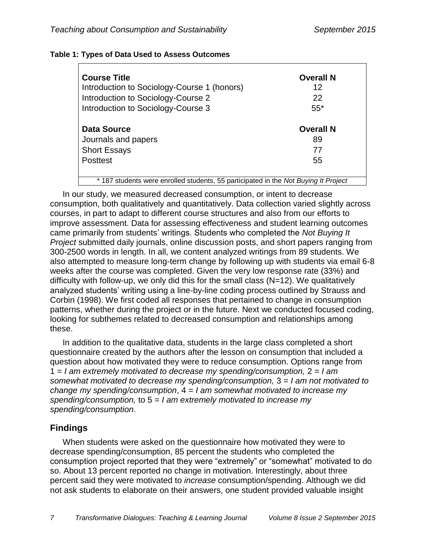| <b>Course Title</b>                         | <b>Overall N</b> |
|---------------------------------------------|------------------|
| Introduction to Sociology-Course 1 (honors) | 12               |
| Introduction to Sociology-Course 2          | 22               |
| Introduction to Sociology-Course 3          | $55*$            |
| <b>Data Source</b>                          | <b>Overall N</b> |
| Journals and papers                         | 89               |
| <b>Short Essays</b>                         | 77               |
| <b>Posttest</b>                             | 55               |

#### **Table 1: Types of Data Used to Assess Outcomes**

\* 187 students were enrolled students, 55 participated in the *Not Buying It Project*

In our study, we measured decreased consumption, or intent to decrease consumption, both qualitatively and quantitatively. Data collection varied slightly across courses, in part to adapt to different course structures and also from our efforts to improve assessment. Data for assessing effectiveness and student learning outcomes came primarily from students' writings. Students who completed the *Not Buying It Project* submitted daily journals, online discussion posts, and short papers ranging from 300-2500 words in length. In all, we content analyzed writings from 89 students. We also attempted to measure long-term change by following up with students via email 6-8 weeks after the course was completed. Given the very low response rate (33%) and difficulty with follow-up, we only did this for the small class (N=12). We qualitatively analyzed students' writing using a line-by-line coding process outlined by Strauss and Corbin (1998). We first coded all responses that pertained to change in consumption patterns, whether during the project or in the future. Next we conducted focused coding, looking for subthemes related to decreased consumption and relationships among these.

In addition to the qualitative data, students in the large class completed a short questionnaire created by the authors after the lesson on consumption that included a question about how motivated they were to reduce consumption. Options range from 1 = *I am extremely motivated to decrease my spending/consumption,* 2 = *I am somewhat motivated to decrease my spending/consumption,* 3 = *I am not motivated to change my spending/consumption*, 4 = *I am somewhat motivated to increase my spending/consumption,* to 5 = *I am extremely motivated to increase my spending/consumption*.

## **Findings**

When students were asked on the questionnaire how motivated they were to decrease spending/consumption, 85 percent the students who completed the consumption project reported that they were "extremely" or "somewhat" motivated to do so. About 13 percent reported no change in motivation. Interestingly, about three percent said they were motivated to *increase* consumption/spending. Although we did not ask students to elaborate on their answers, one student provided valuable insight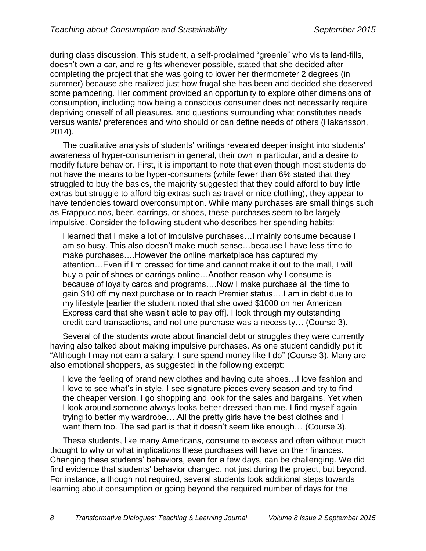during class discussion. This student, a self-proclaimed "greenie" who visits land-fills, doesn't own a car, and re-gifts whenever possible, stated that she decided after completing the project that she was going to lower her thermometer 2 degrees (in summer) because she realized just how frugal she has been and decided she deserved some pampering. Her comment provided an opportunity to explore other dimensions of consumption, including how being a conscious consumer does not necessarily require depriving oneself of all pleasures, and questions surrounding what constitutes needs versus wants/ preferences and who should or can define needs of others (Hakansson, 2014).

The qualitative analysis of students' writings revealed deeper insight into students' awareness of hyper-consumerism in general, their own in particular, and a desire to modify future behavior. First, it is important to note that even though most students do not have the means to be hyper-consumers (while fewer than 6% stated that they struggled to buy the basics, the majority suggested that they could afford to buy little extras but struggle to afford big extras such as travel or nice clothing), they appear to have tendencies toward overconsumption. While many purchases are small things such as Frappuccinos, beer, earrings, or shoes, these purchases seem to be largely impulsive. Consider the following student who describes her spending habits:

I learned that I make a lot of impulsive purchases…I mainly consume because I am so busy. This also doesn't make much sense…because I have less time to make purchases….However the online marketplace has captured my attention…Even if I'm pressed for time and cannot make it out to the mall, I will buy a pair of shoes or earrings online…Another reason why I consume is because of loyalty cards and programs….Now I make purchase all the time to gain \$10 off my next purchase or to reach Premier status….I am in debt due to my lifestyle [earlier the student noted that she owed \$1000 on her American Express card that she wasn't able to pay off]. I look through my outstanding credit card transactions, and not one purchase was a necessity… (Course 3).

Several of the students wrote about financial debt or struggles they were currently having also talked about making impulsive purchases. As one student candidly put it: "Although I may not earn a salary, I sure spend money like I do" (Course 3). Many are also emotional shoppers, as suggested in the following excerpt:

I love the feeling of brand new clothes and having cute shoes…I love fashion and I love to see what's in style. I see signature pieces every season and try to find the cheaper version. I go shopping and look for the sales and bargains. Yet when I look around someone always looks better dressed than me. I find myself again trying to better my wardrobe….All the pretty girls have the best clothes and I want them too. The sad part is that it doesn't seem like enough… (Course 3).

These students, like many Americans, consume to excess and often without much thought to why or what implications these purchases will have on their finances. Changing these students' behaviors, even for a few days, can be challenging. We did find evidence that students' behavior changed, not just during the project, but beyond. For instance, although not required, several students took additional steps towards learning about consumption or going beyond the required number of days for the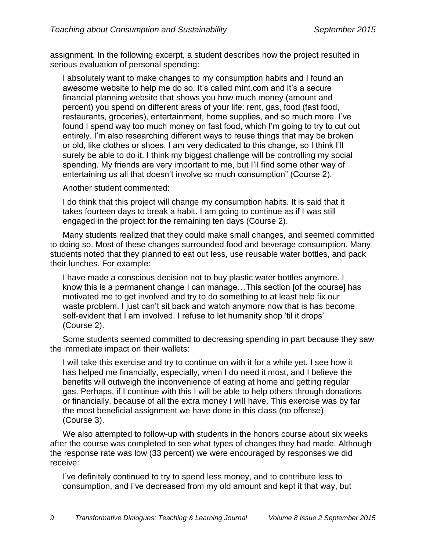assignment. In the following excerpt, a student describes how the project resulted in serious evaluation of personal spending:

I absolutely want to make changes to my consumption habits and I found an awesome website to help me do so. It's called mint.com and it's a secure financial planning website that shows you how much money (amount and percent) you spend on different areas of your life: rent, gas, food (fast food, restaurants, groceries), entertainment, home supplies, and so much more. I've found I spend way too much money on fast food, which I'm going to try to cut out entirely. I'm also researching different ways to reuse things that may be broken or old, like clothes or shoes. I am very dedicated to this change, so I think I'll surely be able to do it. I think my biggest challenge will be controlling my social spending. My friends are very important to me, but I'll find some other way of entertaining us all that doesn't involve so much consumption" (Course 2).

Another student commented:

I do think that this project will change my consumption habits. It is said that it takes fourteen days to break a habit. I am going to continue as if I was still engaged in the project for the remaining ten days (Course 2).

Many students realized that they could make small changes, and seemed committed to doing so. Most of these changes surrounded food and beverage consumption. Many students noted that they planned to eat out less, use reusable water bottles, and pack their lunches. For example:

I have made a conscious decision not to buy plastic water bottles anymore. I know this is a permanent change I can manage…This section [of the course] has motivated me to get involved and try to do something to at least help fix our waste problem. I just can't sit back and watch anymore now that is has become self-evident that I am involved. I refuse to let humanity shop 'til it drops' (Course 2).

Some students seemed committed to decreasing spending in part because they saw the immediate impact on their wallets:

I will take this exercise and try to continue on with it for a while yet. I see how it has helped me financially, especially, when I do need it most, and I believe the benefits will outweigh the inconvenience of eating at home and getting regular gas. Perhaps, if I continue with this I will be able to help others through donations or financially, because of all the extra money I will have. This exercise was by far the most beneficial assignment we have done in this class (no offense) (Course 3).

We also attempted to follow-up with students in the honors course about six weeks after the course was completed to see what types of changes they had made. Although the response rate was low (33 percent) we were encouraged by responses we did receive:

I've definitely continued to try to spend less money, and to contribute less to consumption, and I've decreased from my old amount and kept it that way, but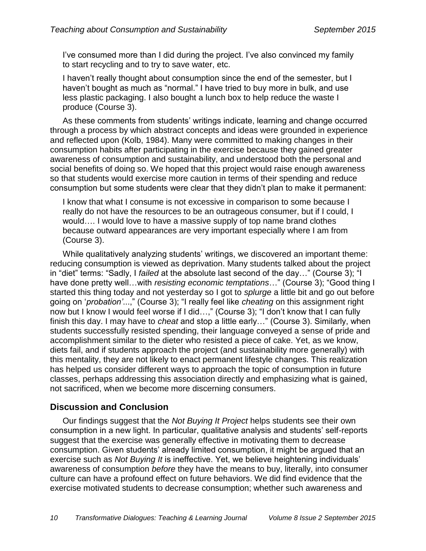I've consumed more than I did during the project. I've also convinced my family to start recycling and to try to save water, etc.

I haven't really thought about consumption since the end of the semester, but I haven't bought as much as "normal." I have tried to buy more in bulk, and use less plastic packaging. I also bought a lunch box to help reduce the waste I produce (Course 3).

As these comments from students' writings indicate, learning and change occurred through a process by which abstract concepts and ideas were grounded in experience and reflected upon (Kolb, 1984). Many were committed to making changes in their consumption habits after participating in the exercise because they gained greater awareness of consumption and sustainability, and understood both the personal and social benefits of doing so. We hoped that this project would raise enough awareness so that students would exercise more caution in terms of their spending and reduce consumption but some students were clear that they didn't plan to make it permanent:

I know that what I consume is not excessive in comparison to some because I really do not have the resources to be an outrageous consumer, but if I could, I would…. I would love to have a massive supply of top name brand clothes because outward appearances are very important especially where I am from (Course 3).

While qualitatively analyzing students' writings, we discovered an important theme: reducing consumption is viewed as deprivation. Many students talked about the project in "diet" terms: "Sadly, I *failed* at the absolute last second of the day…" (Course 3); "I have done pretty well…with *resisting economic temptations*…" (Course 3); "Good thing I started this thing today and not yesterday so I got to *splurge* a little bit and go out before going on '*probation'*...," (Course 3); "I really feel like *cheating* on this assignment right now but I know I would feel worse if I did…," (Course 3); "I don't know that I can fully finish this day. I may have to *cheat* and stop a little early…" (Course 3). Similarly, when students successfully resisted spending, their language conveyed a sense of pride and accomplishment similar to the dieter who resisted a piece of cake. Yet, as we know, diets fail, and if students approach the project (and sustainability more generally) with this mentality, they are not likely to enact permanent lifestyle changes. This realization has helped us consider different ways to approach the topic of consumption in future classes, perhaps addressing this association directly and emphasizing what is gained, not sacrificed, when we become more discerning consumers.

#### **Discussion and Conclusion**

Our findings suggest that the *Not Buying It Project* helps students see their own consumption in a new light. In particular, qualitative analysis and students' self-reports suggest that the exercise was generally effective in motivating them to decrease consumption. Given students' already limited consumption, it might be argued that an exercise such as *Not Buying It* is ineffective. Yet, we believe heightening individuals' awareness of consumption *before* they have the means to buy, literally, into consumer culture can have a profound effect on future behaviors. We did find evidence that the exercise motivated students to decrease consumption; whether such awareness and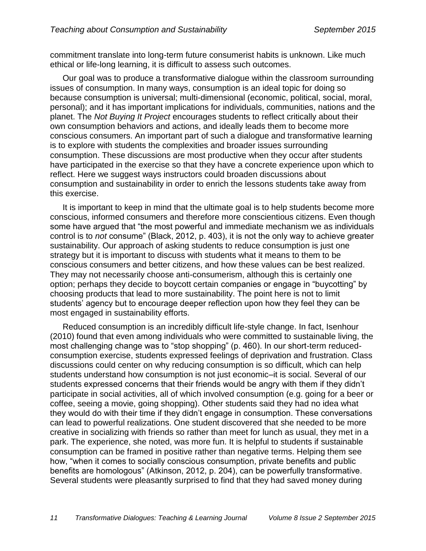commitment translate into long-term future consumerist habits is unknown. Like much ethical or life-long learning, it is difficult to assess such outcomes.

Our goal was to produce a transformative dialogue within the classroom surrounding issues of consumption. In many ways, consumption is an ideal topic for doing so because consumption is universal; multi-dimensional (economic, political, social, moral, personal); and it has important implications for individuals, communities, nations and the planet. The *Not Buying It Project* encourages students to reflect critically about their own consumption behaviors and actions, and ideally leads them to become more conscious consumers. An important part of such a dialogue and transformative learning is to explore with students the complexities and broader issues surrounding consumption. These discussions are most productive when they occur after students have participated in the exercise so that they have a concrete experience upon which to reflect. Here we suggest ways instructors could broaden discussions about consumption and sustainability in order to enrich the lessons students take away from this exercise.

It is important to keep in mind that the ultimate goal is to help students become more conscious, informed consumers and therefore more conscientious citizens. Even though some have argued that "the most powerful and immediate mechanism we as individuals control is to *not* consume" (Black, 2012, p. 403), it is not the only way to achieve greater sustainability. Our approach of asking students to reduce consumption is just one strategy but it is important to discuss with students what it means to them to be conscious consumers and better citizens, and how these values can be best realized. They may not necessarily choose anti-consumerism, although this is certainly one option; perhaps they decide to boycott certain companies or engage in "buycotting" by choosing products that lead to more sustainability. The point here is not to limit students' agency but to encourage deeper reflection upon how they feel they can be most engaged in sustainability efforts.

Reduced consumption is an incredibly difficult life-style change. In fact, Isenhour (2010) found that even among individuals who were committed to sustainable living, the most challenging change was to "stop shopping" (p. 460). In our short-term reducedconsumption exercise, students expressed feelings of deprivation and frustration. Class discussions could center on why reducing consumption is so difficult, which can help students understand how consumption is not just economic–it is social. Several of our students expressed concerns that their friends would be angry with them if they didn't participate in social activities, all of which involved consumption (e.g. going for a beer or coffee, seeing a movie, going shopping). Other students said they had no idea what they would do with their time if they didn't engage in consumption. These conversations can lead to powerful realizations. One student discovered that she needed to be more creative in socializing with friends so rather than meet for lunch as usual, they met in a park. The experience, she noted, was more fun. It is helpful to students if sustainable consumption can be framed in positive rather than negative terms. Helping them see how, "when it comes to socially conscious consumption, private benefits and public benefits are homologous" (Atkinson, 2012, p. 204), can be powerfully transformative. Several students were pleasantly surprised to find that they had saved money during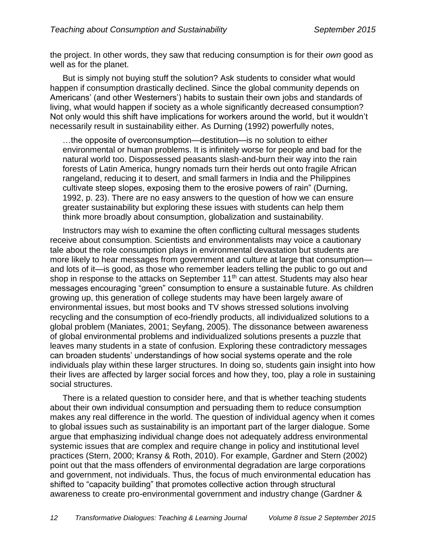the project. In other words, they saw that reducing consumption is for their *own* good as well as for the planet.

But is simply not buying stuff the solution? Ask students to consider what would happen if consumption drastically declined. Since the global community depends on Americans' (and other Westerners') habits to sustain their own jobs and standards of living, what would happen if society as a whole significantly decreased consumption? Not only would this shift have implications for workers around the world, but it wouldn't necessarily result in sustainability either. As Durning (1992) powerfully notes,

…the opposite of overconsumption—destitution—is no solution to either environmental or human problems. It is infinitely worse for people and bad for the natural world too. Dispossessed peasants slash-and-burn their way into the rain forests of Latin America, hungry nomads turn their herds out onto fragile African rangeland, reducing it to desert, and small farmers in India and the Philippines cultivate steep slopes, exposing them to the erosive powers of rain" (Durning, 1992, p. 23). There are no easy answers to the question of how we can ensure greater sustainability but exploring these issues with students can help them think more broadly about consumption, globalization and sustainability.

Instructors may wish to examine the often conflicting cultural messages students receive about consumption. Scientists and environmentalists may voice a cautionary tale about the role consumption plays in environmental devastation but students are more likely to hear messages from government and culture at large that consumption and lots of it—is good, as those who remember leaders telling the public to go out and shop in response to the attacks on September 11<sup>th</sup> can attest. Students may also hear messages encouraging "green" consumption to ensure a sustainable future. As children growing up, this generation of college students may have been largely aware of environmental issues, but most books and TV shows stressed solutions involving recycling and the consumption of eco-friendly products, all individualized solutions to a global problem (Maniates, 2001; Seyfang, 2005). The dissonance between awareness of global environmental problems and individualized solutions presents a puzzle that leaves many students in a state of confusion. Exploring these contradictory messages can broaden students' understandings of how social systems operate and the role individuals play within these larger structures. In doing so, students gain insight into how their lives are affected by larger social forces and how they, too, play a role in sustaining social structures.

There is a related question to consider here, and that is whether teaching students about their own individual consumption and persuading them to reduce consumption makes any real difference in the world. The question of individual agency when it comes to global issues such as sustainability is an important part of the larger dialogue. Some argue that emphasizing individual change does not adequately address environmental systemic issues that are complex and require change in policy and institutional level practices (Stern, 2000; Kransy & Roth, 2010). For example, Gardner and Stern (2002) point out that the mass offenders of environmental degradation are large corporations and government, not individuals. Thus, the focus of much environmental education has shifted to "capacity building" that promotes collective action through structural awareness to create pro-environmental government and industry change (Gardner &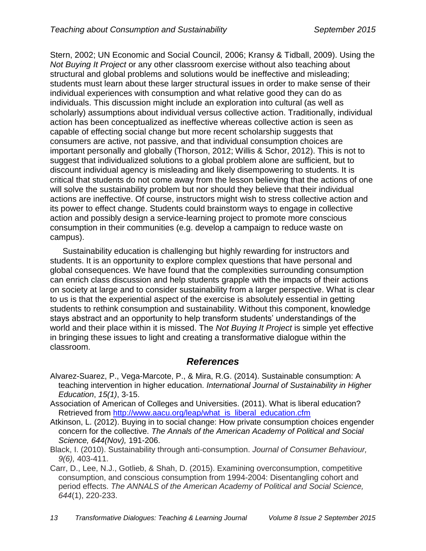Stern, 2002; UN Economic and Social Council, 2006; Kransy & Tidball, 2009). Using the *Not Buying It Project* or any other classroom exercise without also teaching about structural and global problems and solutions would be ineffective and misleading; students must learn about these larger structural issues in order to make sense of their individual experiences with consumption and what relative good they can do as individuals. This discussion might include an exploration into cultural (as well as scholarly) assumptions about individual versus collective action. Traditionally, individual action has been conceptualized as ineffective whereas collective action is seen as capable of effecting social change but more recent scholarship suggests that consumers are active, not passive, and that individual consumption choices are important personally and globally (Thorson, 2012; Willis & Schor, 2012). This is not to suggest that individualized solutions to a global problem alone are sufficient, but to discount individual agency is misleading and likely disempowering to students. It is critical that students do not come away from the lesson believing that the actions of one will solve the sustainability problem but nor should they believe that their individual actions are ineffective. Of course, instructors might wish to stress collective action and its power to effect change. Students could brainstorm ways to engage in collective action and possibly design a service-learning project to promote more conscious consumption in their communities (e.g. develop a campaign to reduce waste on campus).

Sustainability education is challenging but highly rewarding for instructors and students. It is an opportunity to explore complex questions that have personal and global consequences. We have found that the complexities surrounding consumption can enrich class discussion and help students grapple with the impacts of their actions on society at large and to consider sustainability from a larger perspective. What is clear to us is that the experiential aspect of the exercise is absolutely essential in getting students to rethink consumption and sustainability. Without this component, knowledge stays abstract and an opportunity to help transform students' understandings of the world and their place within it is missed. The *Not Buying It Project* is simple yet effective in bringing these issues to light and creating a transformative dialogue within the classroom.

## *References*

- Alvarez-Suarez, P., Vega-Marcote, P., & Mira, R.G. (2014). Sustainable consumption: A teaching intervention in higher education. *International Journal of Sustainability in Higher Education*, *15(1)*, 3-15.
- Association of American of Colleges and Universities. (2011). What is liberal education? Retrieved from [http://www.aacu.org/leap/what\\_is\\_liberal\\_education.cfm](http://www.aacu.org/leap/what_is_liberal_education.cfm)
- Atkinson, L. (2012). Buying in to social change: How private consumption choices engender concern for the collective. *The Annals of the American Academy of Political and Social Science, 644(Nov),* 191-206.
- Black, I. (2010). Sustainability through anti-consumption. *Journal of Consumer Behaviour, 9(6),* 403-411.
- Carr, D., Lee, N.J., Gotlieb, & Shah, D. (2015). Examining overconsumption, competitive consumption, and conscious consumption from 1994-2004: Disentangling cohort and period effects. *The ANNALS of the American Academy of Political and Social Science, 644*(1), 220-233.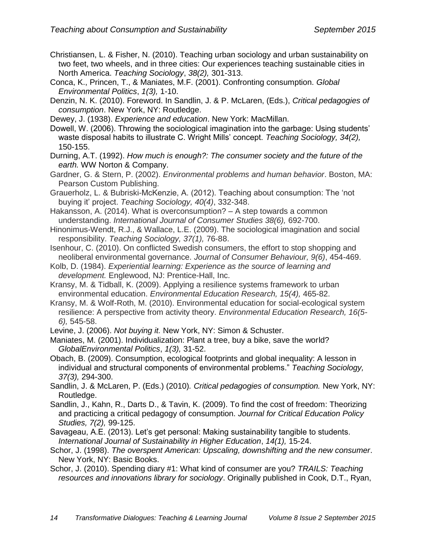- Christiansen, L. & Fisher, N. (2010). Teaching urban sociology and urban sustainability on two feet, two wheels, and in three cities: Our experiences teaching sustainable cities in North America. *Teaching Sociology*, *38(2),* 301-313.
- Conca, K., Princen, T., & Maniates, M.F. (2001). Confronting consumption. *Global Environmental Politics*, *1(3),* 1-10.
- Denzin, N. K. (2010). Foreword. In Sandlin, J. & P. McLaren, (Eds.), *Critical pedagogies of consumption*. New York, NY: Routledge.
- Dewey, J. (1938). *Experience and education*. New York: MacMillan.
- Dowell, W. (2006). Throwing the sociological imagination into the garbage: Using students' waste disposal habits to illustrate C. Wright Mills' concept. *Teaching Sociology, 34(2),* 150-155.
- Durning, A.T. (1992). *How much is enough?: The consumer society and the future of the earth.* WW Norton & Company.
- Gardner, G. & Stern, P. (2002). *Environmental problems and human behavior*. Boston, MA: Pearson Custom Publishing.
- Grauerholz, L. & Bubriski-McKenzie, A. (2012). Teaching about consumption: The 'not buying it' project. *Teaching Sociology, 40(4)*, 332-348.
- Hakansson, A. (2014). What is overconsumption? A step towards a common understanding. *International Journal of Consumer Studies 38(6),* 692-700.
- Hinonimus-Wendt, R.J., & Wallace, L.E. (2009). The sociological imagination and social responsibility. *Teaching Sociology, 37(1),* 76-88.
- Isenhour, C. (2010). On conflicted Swedish consumers, the effort to stop shopping and neoliberal environmental governance. *Journal of Consumer Behaviour, 9(6)*, 454-469.
- Kolb, D. (1984). *Experiential learning: Experience as the source of learning and development.* Englewood, NJ: Prentice-Hall, Inc.
- Kransy, M. & Tidball, K. (2009). Applying a resilience systems framework to urban environmental education. *Environmental Education Research, 15(4),* 465-82.
- Kransy, M. & Wolf-Roth, M. (2010). Environmental education for social-ecological system resilience: A perspective from activity theory. *Environmental Education Research, 16(5- 6),* 545-58.
- Levine, J. (2006). *Not buying it.* New York, NY: Simon & Schuster.
- Maniates, M. (2001). Individualization: Plant a tree, buy a bike, save the world? *GlobalEnvironmental Politics*, *1(3),* 31-52.
- Obach, B. (2009). Consumption, ecological footprints and global inequality: A lesson in individual and structural components of environmental problems." *Teaching Sociology, 37(3),* 294-300.
- Sandlin, J. & McLaren, P. (Eds.) (2010)*. Critical pedagogies of consumption.* New York, NY: Routledge.
- Sandlin, J., Kahn, R., Darts D., & Tavin, K. (2009). To find the cost of freedom: Theorizing and practicing a critical pedagogy of consumption. *Journal for Critical Education Policy Studies, 7(2),* 99-125.
- Savageau, A.E. (2013). Let's get personal: Making sustainability tangible to students. *International Journal of Sustainability in Higher Education*, *14(1),* 15-24.
- Schor, J. (1998). *The overspent American: Upscaling, downshifting and the new consumer*. New York, NY: Basic Books.
- Schor, J. (2010). Spending diary #1: What kind of consumer are you? *TRAILS: Teaching resources and innovations library for sociology*. Originally published in Cook, D.T., Ryan,